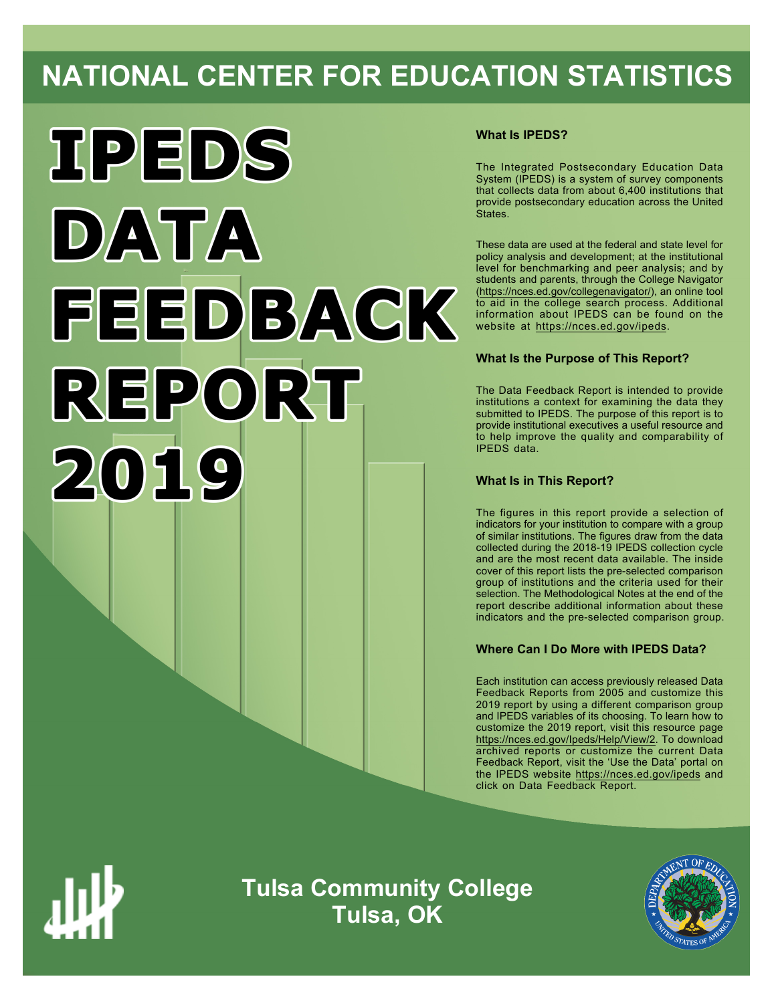# **NATIONAL CENTER FOR EDUCATION STATISTICS**



# **What Is IPEDS?**

The Integrated Postsecondary Education Data System (IPEDS) is a system of survey components that collects data from about 6,400 institutions that provide postsecondary education across the United States.

These data are used at the federal and state level for policy analysis and development; at the institutional level for benchmarking and peer analysis; and by students and parents, through the College Navigator ([https://nces.ed.gov/collegenavigator/\)](https://nces.ed.gov/collegenavigator/), an online tool to aid in the college search process. Additional information about IPEDS can be found on the website at<https://nces.ed.gov/ipeds>.

# **What Is the Purpose of This Report?**

The Data Feedback Report is intended to provide institutions a context for examining the data they submitted to IPEDS. The purpose of this report is to provide institutional executives a useful resource and to help improve the quality and comparability of IPEDS data.

# **What Is in This Report?**

The figures in this report provide a selection of indicators for your institution to compare with a group of similar institutions. The figures draw from the data collected during the 2018-19 IPEDS collection cycle and are the most recent data available. The inside cover of this report lists the pre-selected comparison group of institutions and the criteria used for their selection. The Methodological Notes at the end of the report describe additional information about these indicators and the pre-selected comparison group.

# **Where Can I Do More with IPEDS Data?**

Each institution can access previously released Data Feedback Reports from 2005 and customize this 2019 report by using a different comparison group and IPEDS variables of its choosing. To learn how to customize the 2019 report, visit this resource page <https://nces.ed.gov/Ipeds/Help/View/2>. To download archived reports or customize the current Data Feedback Report, visit the 'Use the Data' portal on the IPEDS website<https://nces.ed.gov/ipeds> and click on Data Feedback Report.



**Tulsa Community College Tulsa, OK**

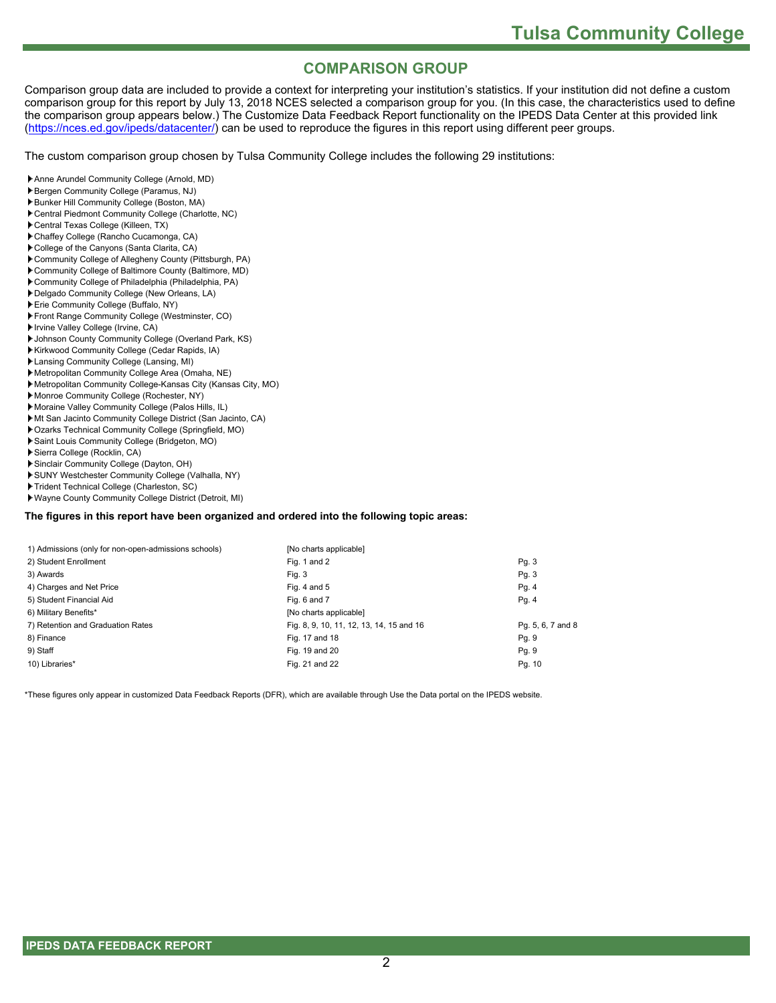# **COMPARISON GROUP**

Comparison group data are included to provide a context for interpreting your institution's statistics. If your institution did not define a custom comparison group for this report by July 13, 2018 NCES selected a comparison group for you. (In this case, the characteristics used to define the comparison group appears below.) The Customize Data Feedback Report functionality on the IPEDS Data Center at this provided link [\(https://nces.ed.gov/ipeds/datacenter/](https://nces.ed.gov/ipeds/datacenter/)) can be used to reproduce the figures in this report using different peer groups.

The custom comparison group chosen by Tulsa Community College includes the following 29 institutions:

- Anne Arundel Community College (Arnold, MD)
- Bergen Community College (Paramus, NJ)
- Bunker Hill Community College (Boston, MA)
- Central Piedmont Community College (Charlotte, NC)
- Central Texas College (Killeen, TX)
- Chaffey College (Rancho Cucamonga, CA)
- College of the Canyons (Santa Clarita, CA)
- Community College of Allegheny County (Pittsburgh, PA)
- Community College of Baltimore County (Baltimore, MD)
- Community College of Philadelphia (Philadelphia, PA)
- Delgado Community College (New Orleans, LA)
- Erie Community College (Buffalo, NY)
- Front Range Community College (Westminster, CO)
- Irvine Valley College (Irvine, CA)
- Johnson County Community College (Overland Park, KS)
- Kirkwood Community College (Cedar Rapids, IA)
- Lansing Community College (Lansing, MI)
- Metropolitan Community College Area (Omaha, NE)
- Metropolitan Community College-Kansas City (Kansas City, MO)
- Monroe Community College (Rochester, NY)
- Moraine Valley Community College (Palos Hills, IL)
- Mt San Jacinto Community College District (San Jacinto, CA)
- Ozarks Technical Community College (Springfield, MO)
- Saint Louis Community College (Bridgeton, MO)
- Sierra College (Rocklin, CA)
- Sinclair Community College (Dayton, OH)
- SUNY Westchester Community College (Valhalla, NY)
- Trident Technical College (Charleston, SC)
- Wayne County Community College District (Detroit, MI)

#### **The figures in this report have been organized and ordered into the following topic areas:**

| 1) Admissions (only for non-open-admissions schools) | [No charts applicable]                   |                   |
|------------------------------------------------------|------------------------------------------|-------------------|
| 2) Student Enrollment                                | Fig. 1 and 2                             | Pg. 3             |
| 3) Awards                                            | Fig. 3                                   | Pg. 3             |
| 4) Charges and Net Price                             | Fig. 4 and $5$                           | Pg. 4             |
| 5) Student Financial Aid                             | Fig. 6 and 7                             | Pg. 4             |
| 6) Military Benefits*                                | [No charts applicable]                   |                   |
| 7) Retention and Graduation Rates                    | Fig. 8, 9, 10, 11, 12, 13, 14, 15 and 16 | Pg. 5, 6, 7 and 8 |
| 8) Finance                                           | Fig. 17 and 18                           | Pg. 9             |
| 9) Staff                                             | Fig. 19 and 20                           | Pg. 9             |
| 10) Libraries*                                       | Fig. 21 and 22                           | Pg. 10            |

\*These figures only appear in customized Data Feedback Reports (DFR), which are available through Use the Data portal on the IPEDS website.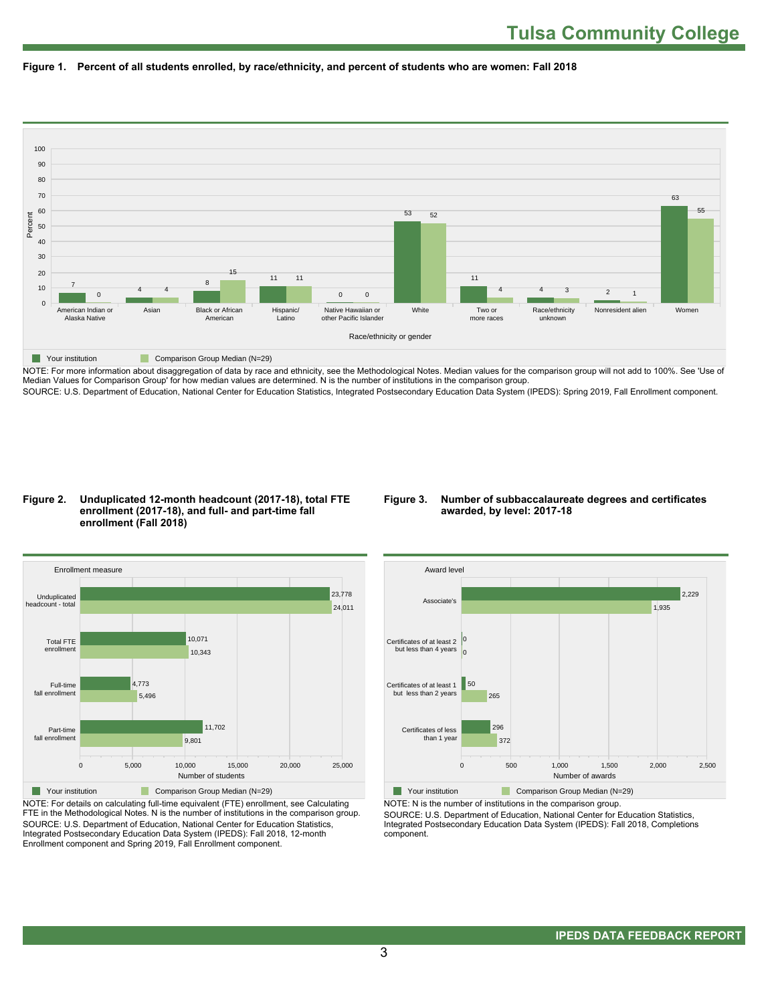



NOTE: For more information about disaggregation of data by race and ethnicity, see the Methodological Notes. Median values for the comparison group will not add to 100%. See 'Use of Median Values for Comparison Group' for how median values are determined. N is the number of institutions in the comparison group. SOURCE: U.S. Department of Education, National Center for Education Statistics, Integrated Postsecondary Education Data System (IPEDS): Spring 2019, Fall Enrollment component.

#### **Figure 2. Unduplicated 12-month headcount (2017-18), total FTE enrollment (2017-18), and full- and part-time fall enrollment (Fall 2018)**

#### **Figure 3. Number of subbaccalaureate degrees and certificates awarded, by level: 2017-18**



NOTE: For details on calculating full-time equivalent (FTE) enrollment, see Calculating FTE in the Methodological Notes. N is the number of institutions in the comparison group. SOURCE: U.S. Department of Education, National Center for Education Statistics, Integrated Postsecondary Education Data System (IPEDS): Fall 2018, 12-month Enrollment component and Spring 2019, Fall Enrollment component.



NOTE: N is the number of institutions in the comparison group.

SOURCE: U.S. Department of Education, National Center for Education Statistics, Integrated Postsecondary Education Data System (IPEDS): Fall 2018, Completions component.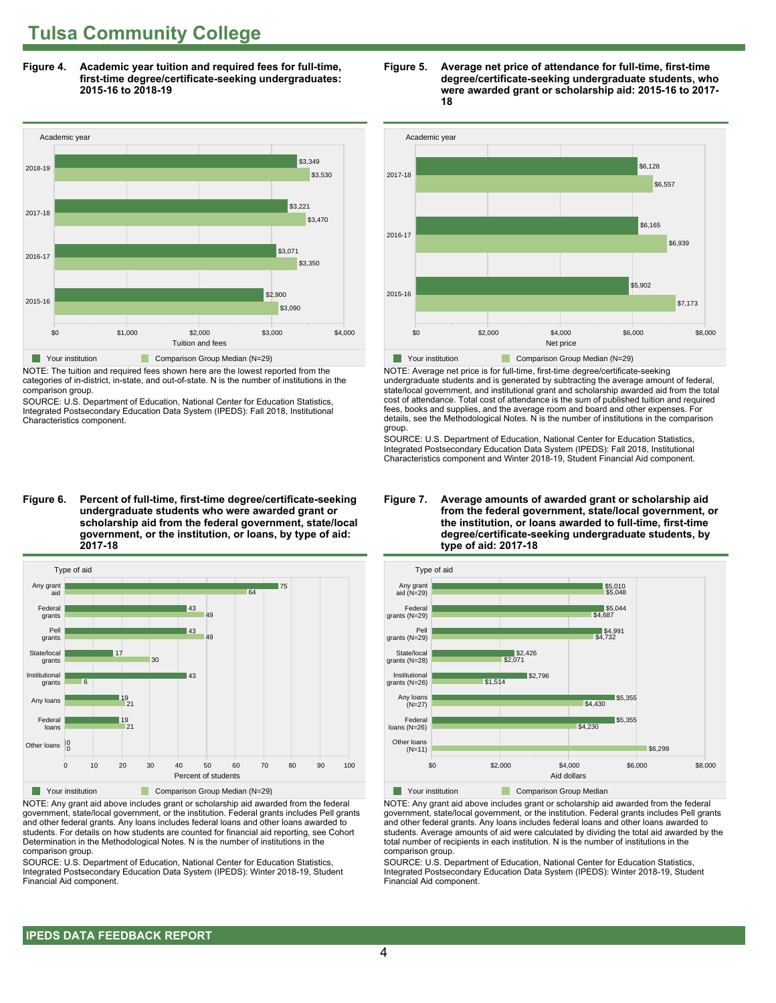**Figure 4. Academic year tuition and required fees for full-time, first-time degree/certificate-seeking undergraduates: 2015-16 to 2018-19**



NOTE: The tuition and required fees shown here are the lowest reported from the categories of in-district, in-state, and out-of-state. N is the number of institutions in the comparison group.

SOURCE: U.S. Department of Education, National Center for Education Statistics, Integrated Postsecondary Education Data System (IPEDS): Fall 2018, Institutional Characteristics component.

**Figure 6. Percent of full-time, first-time degree/certificate-seeking undergraduate students who were awarded grant or scholarship aid from the federal government, state/local government, or the institution, or loans, by type of aid: 2017-18**



NOTE: Any grant aid above includes grant or scholarship aid awarded from the federal government, state/local government, or the institution. Federal grants includes Pell grants and other federal grants. Any loans includes federal loans and other loans awarded to students. For details on how students are counted for financial aid reporting, see Cohort Determination in the Methodological Notes. N is the number of institutions in the comparison group.

SOURCE: U.S. Department of Education, National Center for Education Statistics, Integrated Postsecondary Education Data System (IPEDS): Winter 2018-19, Student Financial Aid component.





NOTE: Average net price is for full-time, first-time degree/certificate-seeking undergraduate students and is generated by subtracting the average amount of federal, state/local government, and institutional grant and scholarship awarded aid from the total cost of attendance. Total cost of attendance is the sum of published tuition and required fees, books and supplies, and the average room and board and other expenses. For details, see the Methodological Notes. N is the number of institutions in the comparison group.

SOURCE: U.S. Department of Education, National Center for Education Statistics, Integrated Postsecondary Education Data System (IPEDS): Fall 2018, Institutional Characteristics component and Winter 2018-19, Student Financial Aid component.





**The Your institution Comparison Group Median** 

NOTE: Any grant aid above includes grant or scholarship aid awarded from the federal government, state/local government, or the institution. Federal grants includes Pell grants and other federal grants. Any loans includes federal loans and other loans awarded to students. Average amounts of aid were calculated by dividing the total aid awarded by the total number of recipients in each institution. N is the number of institutions in the comparison group.

SOURCE: U.S. Department of Education, National Center for Education Statistics, Integrated Postsecondary Education Data System (IPEDS): Winter 2018-19, Student Financial Aid component.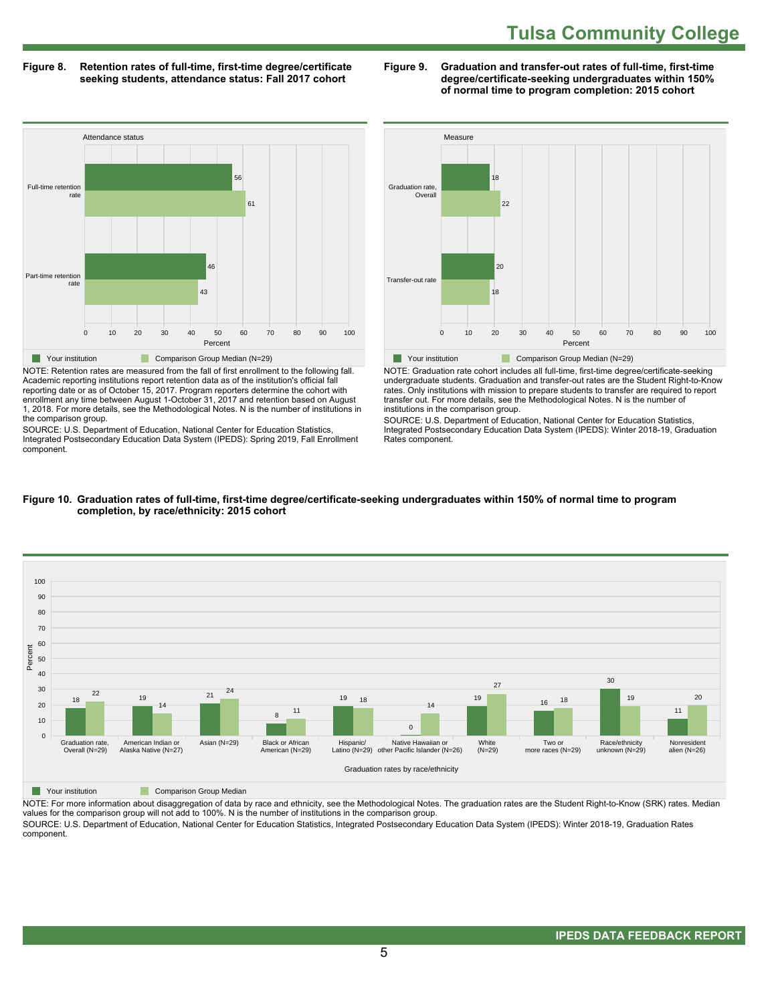**Figure 8. Retention rates of full-time, first-time degree/certificate seeking students, attendance status: Fall 2017 cohort**

**Figure 9. Graduation and transfer-out rates of full-time, first-time degree/certificate-seeking undergraduates within 150% of normal time to program completion: 2015 cohort**



NOTE: Retention rates are measured from the fall of first enrollment to the following fall. Academic reporting institutions report retention data as of the institution's official fall reporting date or as of October 15, 2017. Program reporters determine the cohort with enrollment any time between August 1-October 31, 2017 and retention based on August 1, 2018. For more details, see the Methodological Notes. N is the number of institutions in the comparison group.

SOURCE: U.S. Department of Education, National Center for Education Statistics, Integrated Postsecondary Education Data System (IPEDS): Spring 2019, Fall Enrollment component.



NOTE: Graduation rate cohort includes all full-time, first-time degree/certificate-seeking undergraduate students. Graduation and transfer-out rates are the Student Right-to-Know rates. Only institutions with mission to prepare students to transfer are required to report transfer out. For more details, see the Methodological Notes. N is the number of institutions in the comparison group.

SOURCE: U.S. Department of Education, National Center for Education Statistics, Integrated Postsecondary Education Data System (IPEDS): Winter 2018-19, Graduation Rates component.



#### **Figure 10. Graduation rates of full-time, first-time degree/certificate-seeking undergraduates within 150% of normal time to program completion, by race/ethnicity: 2015 cohort**

**The Comparison Group Median** 

NOTE: For more information about disaggregation of data by race and ethnicity, see the Methodological Notes. The graduation rates are the Student Right-to-Know (SRK) rates. Median values for the comparison group will not add to 100%. N is the number of institutions in the comparison group. SOURCE: U.S. Department of Education, National Center for Education Statistics, Integrated Postsecondary Education Data System (IPEDS): Winter 2018-19, Graduation Rates

component.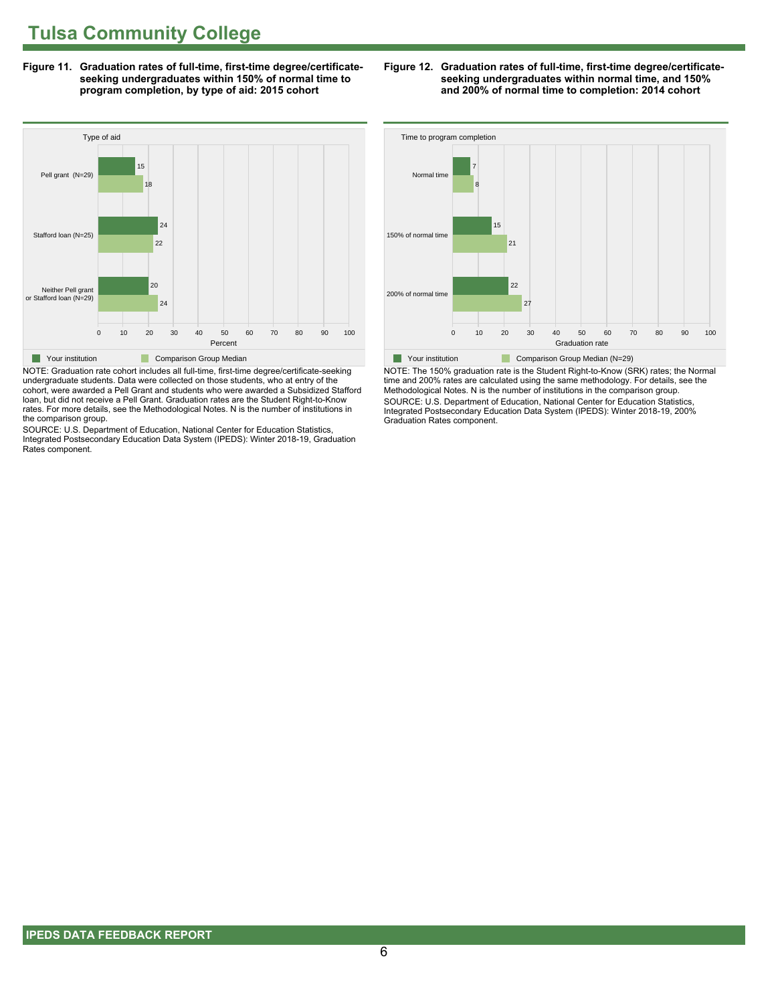**Figure 11. Graduation rates of full-time, first-time degree/certificateseeking undergraduates within 150% of normal time to program completion, by type of aid: 2015 cohort**



NOTE: Graduation rate cohort includes all full-time, first-time degree/certificate-seeking undergraduate students. Data were collected on those students, who at entry of the cohort, were awarded a Pell Grant and students who were awarded a Subsidized Stafford loan, but did not receive a Pell Grant. Graduation rates are the Student Right-to-Know rates. For more details, see the Methodological Notes. N is the number of institutions in the comparison group.

SOURCE: U.S. Department of Education, National Center for Education Statistics, Integrated Postsecondary Education Data System (IPEDS): Winter 2018-19, Graduation Rates component.





NOTE: The 150% graduation rate is the Student Right-to-Know (SRK) rates; the Normal time and 200% rates are calculated using the same methodology. For details, see the Methodological Notes. N is the number of institutions in the comparison group. SOURCE: U.S. Department of Education, National Center for Education Statistics, Integrated Postsecondary Education Data System (IPEDS): Winter 2018-19, 200% Graduation Rates component.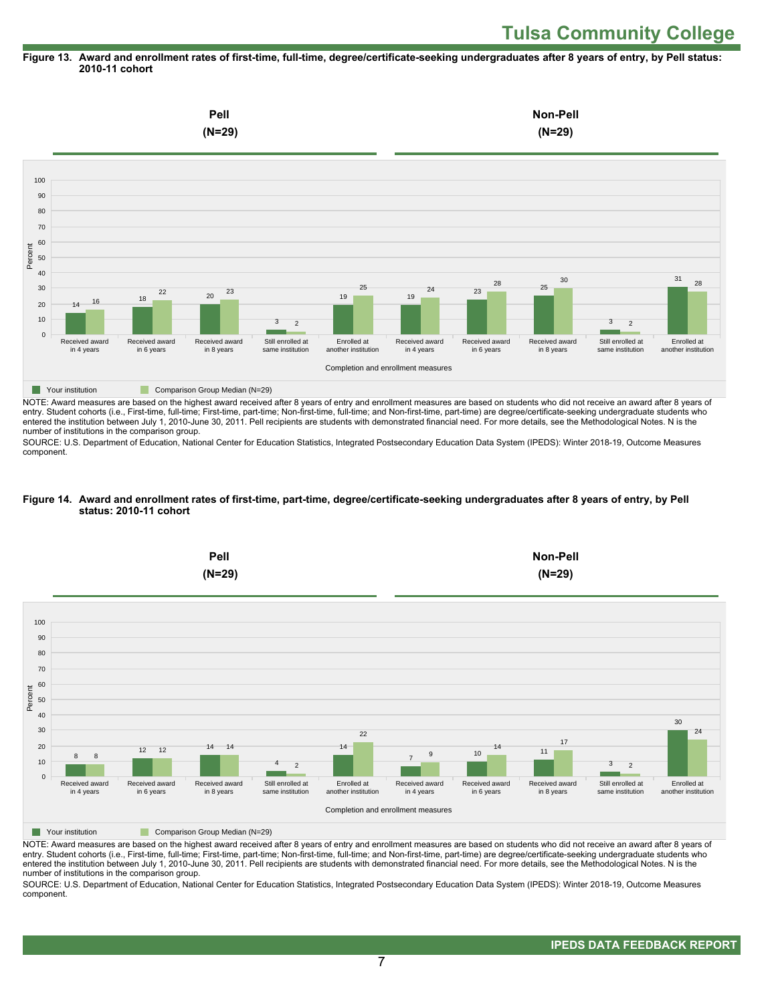#### **Figure 13. Award and enrollment rates of first-time, full-time, degree/certificate-seeking undergraduates after 8 years of entry, by Pell status: 2010-11 cohort**



NOTE: Award measures are based on the highest award received after 8 years of entry and enrollment measures are based on students who did not receive an award after 8 years of entry. Student cohorts (i.e., First-time, full-time; First-time, part-time; Non-first-time, full-time; and Non-first-time, part-time) are degree/certificate-seeking undergraduate students who entered the institution between July 1, 2010-June 30, 2011. Pell recipients are students with demonstrated financial need. For more details, see the Methodological Notes. N is the number of institutions in the comparison group.

SOURCE: U.S. Department of Education, National Center for Education Statistics, Integrated Postsecondary Education Data System (IPEDS): Winter 2018-19, Outcome Measures component.

#### **Figure 14. Award and enrollment rates of first-time, part-time, degree/certificate-seeking undergraduates after 8 years of entry, by Pell status: 2010-11 cohort**



NOTE: Award measures are based on the highest award received after 8 years of entry and enrollment measures are based on students who did not receive an award after 8 years of entry. Student cohorts (i.e., First-time, full-time; First-time, part-time; Non-first-time, full-time; and Non-first-time, part-time) are degree/certificate-seeking undergraduate students who entered the institution between July 1, 2010-June 30, 2011. Pell recipients are students with demonstrated financial need. For more details, see the Methodological Notes. N is the number of institutions in the comparison group.

SOURCE: U.S. Department of Education, National Center for Education Statistics, Integrated Postsecondary Education Data System (IPEDS): Winter 2018-19, Outcome Measures component.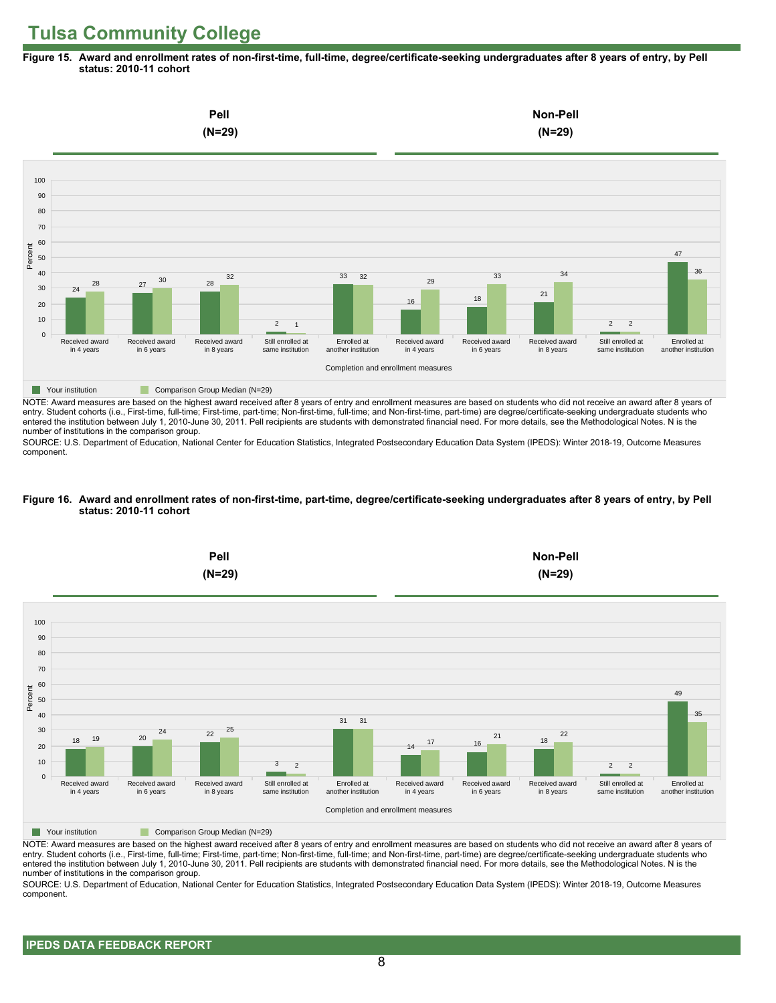**Figure 15. Award and enrollment rates of non-first-time, full-time, degree/certificate-seeking undergraduates after 8 years of entry, by Pell status: 2010-11 cohort**



NOTE: Award measures are based on the highest award received after 8 years of entry and enrollment measures are based on students who did not receive an award after 8 years of entry. Student cohorts (i.e., First-time, full-time; First-time, part-time; Non-first-time, full-time; and Non-first-time, part-time) are degree/certificate-seeking undergraduate students who entered the institution between July 1, 2010-June 30, 2011. Pell recipients are students with demonstrated financial need. For more details, see the Methodological Notes. N is the number of institutions in the comparison group.

SOURCE: U.S. Department of Education, National Center for Education Statistics, Integrated Postsecondary Education Data System (IPEDS): Winter 2018-19, Outcome Measures component.

#### **Figure 16. Award and enrollment rates of non-first-time, part-time, degree/certificate-seeking undergraduates after 8 years of entry, by Pell status: 2010-11 cohort**



NOTE: Award measures are based on the highest award received after 8 years of entry and enrollment measures are based on students who did not receive an award after 8 years of entry. Student cohorts (i.e., First-time, full-time; First-time, part-time; Non-first-time, full-time; and Non-first-time, part-time) are degree/certificate-seeking undergraduate students who entered the institution between July 1, 2010-June 30, 2011. Pell recipients are students with demonstrated financial need. For more details, see the Methodological Notes. N is the number of institutions in the comparison group.

SOURCE: U.S. Department of Education, National Center for Education Statistics, Integrated Postsecondary Education Data System (IPEDS): Winter 2018-19, Outcome Measures component.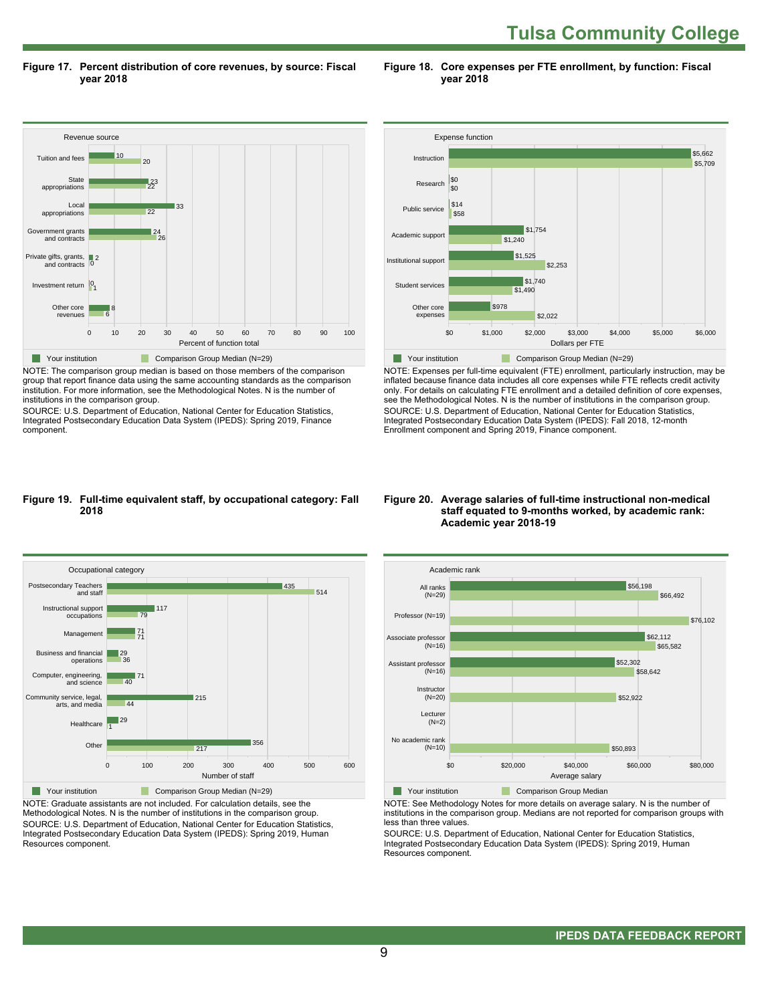**Tulsa Community College** 

**Figure 17. Percent distribution of core revenues, by source: Fiscal year 2018**

**Figure 18. Core expenses per FTE enrollment, by function: Fiscal year 2018**



NOTE: The comparison group median is based on those members of the comparison group that report finance data using the same accounting standards as the comparison institution. For more information, see the Methodological Notes. N is the number of institutions in the comparison group.

SOURCE: U.S. Department of Education, National Center for Education Statistics, Integrated Postsecondary Education Data System (IPEDS): Spring 2019, Finance component.



NOTE: Expenses per full-time equivalent (FTE) enrollment, particularly instruction, may be inflated because finance data includes all core expenses while FTE reflects credit activity only. For details on calculating FTE enrollment and a detailed definition of core expenses, see the Methodological Notes. N is the number of institutions in the comparison group. SOURCE: U.S. Department of Education, National Center for Education Statistics, Integrated Postsecondary Education Data System (IPEDS): Fall 2018, 12-month Enrollment component and Spring 2019, Finance component.

#### **Figure 19. Full-time equivalent staff, by occupational category: Fall 2018**



NOTE: Graduate assistants are not included. For calculation details, see the Methodological Notes. N is the number of institutions in the comparison group. SOURCE: U.S. Department of Education, National Center for Education Statistics, Integrated Postsecondary Education Data System (IPEDS): Spring 2019, Human Resources component.

#### **Figure 20. Average salaries of full-time instructional non-medical staff equated to 9-months worked, by academic rank: Academic year 2018-19**



**The Comparison Group Median** 

NOTE: See Methodology Notes for more details on average salary. N is the number of institutions in the comparison group. Medians are not reported for comparison groups with less than three values.

SOURCE: U.S. Department of Education, National Center for Education Statistics, Integrated Postsecondary Education Data System (IPEDS): Spring 2019, Human Resources component.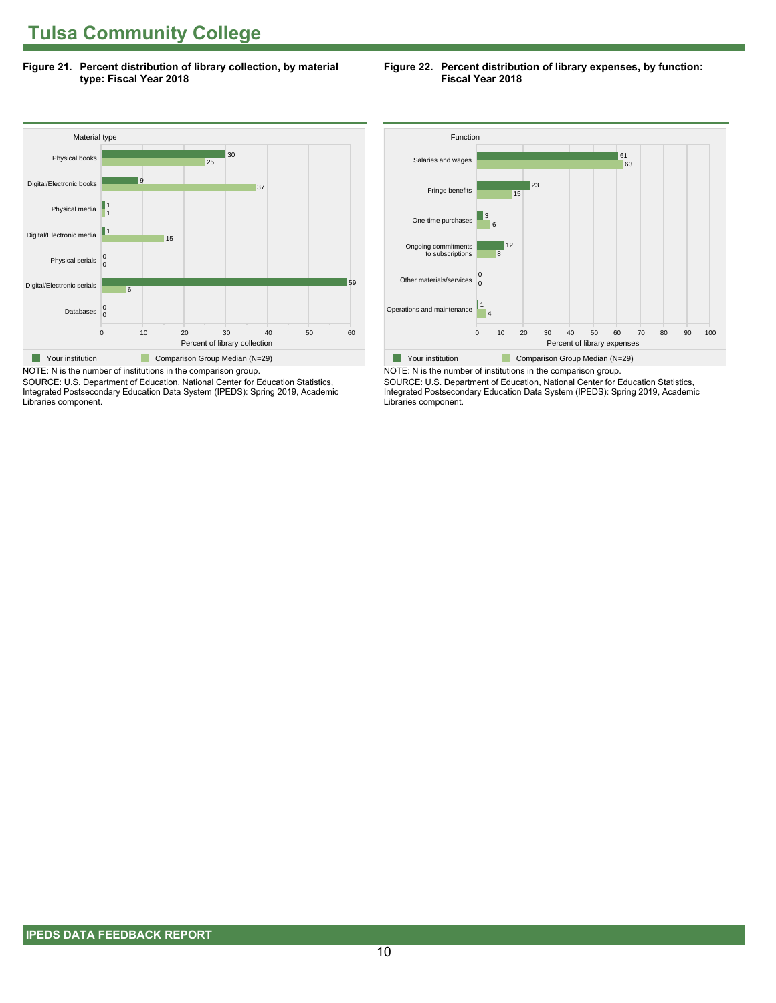**Figure 21. Percent distribution of library collection, by material type: Fiscal Year 2018**

#### **Figure 22. Percent distribution of library expenses, by function: Fiscal Year 2018**



SOURCE: U.S. Department of Education, National Center for Education Statistics, Integrated Postsecondary Education Data System (IPEDS): Spring 2019, Academic Libraries component.



NOTE: N is the number of institutions in the comparison group. SOURCE: U.S. Department of Education, National Center for Education Statistics, Integrated Postsecondary Education Data System (IPEDS): Spring 2019, Academic Libraries component.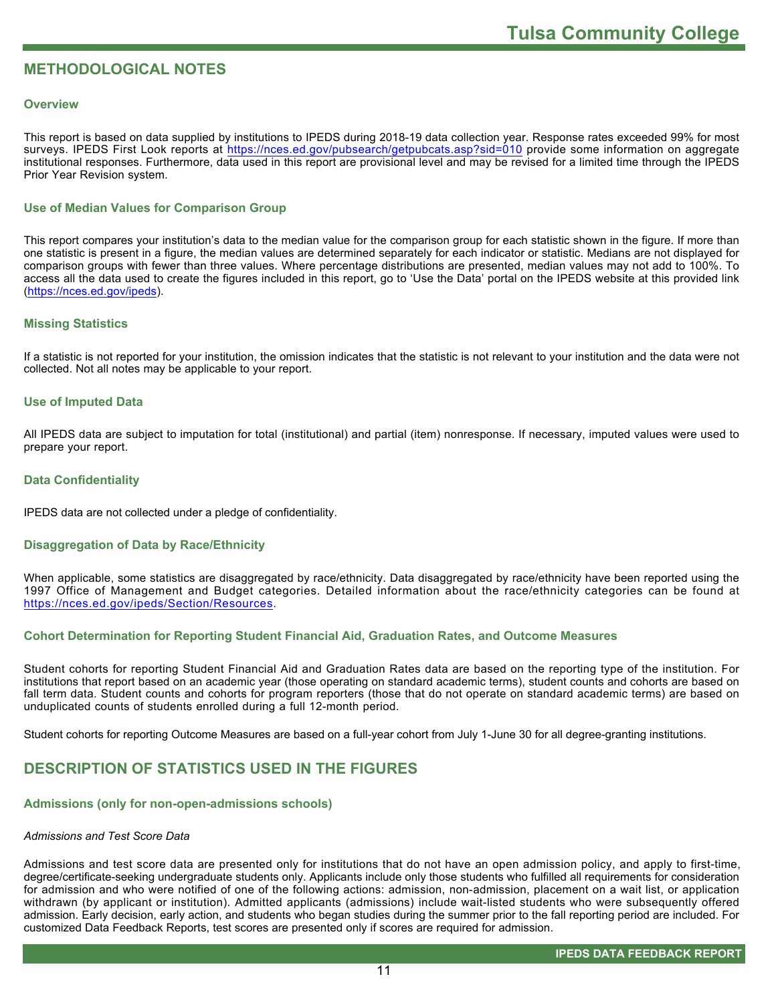# **METHODOLOGICAL NOTES**

#### **Overview**

This report is based on data supplied by institutions to IPEDS during 2018-19 data collection year. Response rates exceeded 99% for most surveys. IPEDS First Look reports at<https://nces.ed.gov/pubsearch/getpubcats.asp?sid=010> provide some information on aggregate institutional responses. Furthermore, data used in this report are provisional level and may be revised for a limited time through the IPEDS Prior Year Revision system.

### **Use of Median Values for Comparison Group**

This report compares your institution's data to the median value for the comparison group for each statistic shown in the figure. If more than one statistic is present in a figure, the median values are determined separately for each indicator or statistic. Medians are not displayed for comparison groups with fewer than three values. Where percentage distributions are presented, median values may not add to 100%. To access all the data used to create the figures included in this report, go to 'Use the Data' portal on the IPEDS website at this provided link ([https://nces.ed.gov/ipeds\)](https://nces.ed.gov/ipeds).

#### **Missing Statistics**

If a statistic is not reported for your institution, the omission indicates that the statistic is not relevant to your institution and the data were not collected. Not all notes may be applicable to your report.

#### **Use of Imputed Data**

All IPEDS data are subject to imputation for total (institutional) and partial (item) nonresponse. If necessary, imputed values were used to prepare your report.

#### **Data Confidentiality**

IPEDS data are not collected under a pledge of confidentiality.

#### **Disaggregation of Data by Race/Ethnicity**

When applicable, some statistics are disaggregated by race/ethnicity. Data disaggregated by race/ethnicity have been reported using the 1997 Office of Management and Budget categories. Detailed information about the race/ethnicity categories can be found at <https://nces.ed.gov/ipeds/Section/Resources>.

### **Cohort Determination for Reporting Student Financial Aid, Graduation Rates, and Outcome Measures**

Student cohorts for reporting Student Financial Aid and Graduation Rates data are based on the reporting type of the institution. For institutions that report based on an academic year (those operating on standard academic terms), student counts and cohorts are based on fall term data. Student counts and cohorts for program reporters (those that do not operate on standard academic terms) are based on unduplicated counts of students enrolled during a full 12-month period.

Student cohorts for reporting Outcome Measures are based on a full-year cohort from July 1-June 30 for all degree-granting institutions.

# **DESCRIPTION OF STATISTICS USED IN THE FIGURES**

### **Admissions (only for non-open-admissions schools)**

#### *Admissions and Test Score Data*

Admissions and test score data are presented only for institutions that do not have an open admission policy, and apply to first-time, degree/certificate-seeking undergraduate students only. Applicants include only those students who fulfilled all requirements for consideration for admission and who were notified of one of the following actions: admission, non-admission, placement on a wait list, or application withdrawn (by applicant or institution). Admitted applicants (admissions) include wait-listed students who were subsequently offered admission. Early decision, early action, and students who began studies during the summer prior to the fall reporting period are included. For customized Data Feedback Reports, test scores are presented only if scores are required for admission.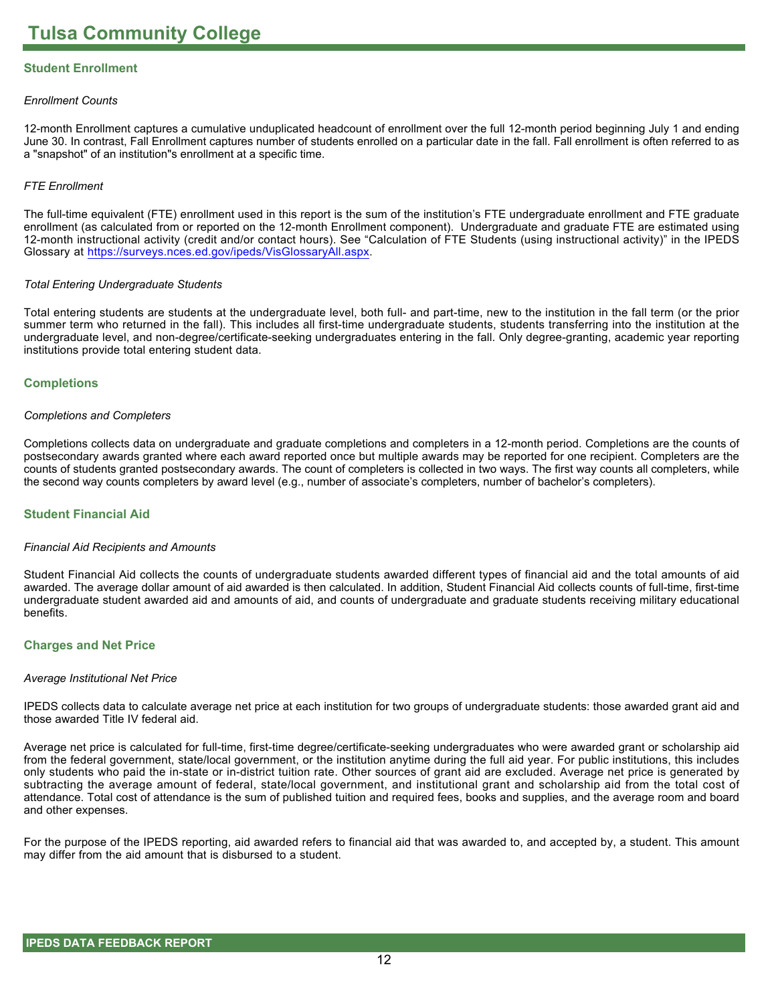# **Student Enrollment**

#### *Enrollment Counts*

12-month Enrollment captures a cumulative unduplicated headcount of enrollment over the full 12-month period beginning July 1 and ending June 30. In contrast, Fall Enrollment captures number of students enrolled on a particular date in the fall. Fall enrollment is often referred to as a "snapshot" of an institution"s enrollment at a specific time.

#### *FTE Enrollment*

The full-time equivalent (FTE) enrollment used in this report is the sum of the institution's FTE undergraduate enrollment and FTE graduate enrollment (as calculated from or reported on the 12-month Enrollment component). Undergraduate and graduate FTE are estimated using 12-month instructional activity (credit and/or contact hours). See "Calculation of FTE Students (using instructional activity)" in the IPEDS Glossary at <https://surveys.nces.ed.gov/ipeds/VisGlossaryAll.aspx>.

#### *Total Entering Undergraduate Students*

Total entering students are students at the undergraduate level, both full- and part-time, new to the institution in the fall term (or the prior summer term who returned in the fall). This includes all first-time undergraduate students, students transferring into the institution at the undergraduate level, and non-degree/certificate-seeking undergraduates entering in the fall. Only degree-granting, academic year reporting institutions provide total entering student data.

#### **Completions**

#### *Completions and Completers*

Completions collects data on undergraduate and graduate completions and completers in a 12-month period. Completions are the counts of postsecondary awards granted where each award reported once but multiple awards may be reported for one recipient. Completers are the counts of students granted postsecondary awards. The count of completers is collected in two ways. The first way counts all completers, while the second way counts completers by award level (e.g., number of associate's completers, number of bachelor's completers).

#### **Student Financial Aid**

#### *Financial Aid Recipients and Amounts*

Student Financial Aid collects the counts of undergraduate students awarded different types of financial aid and the total amounts of aid awarded. The average dollar amount of aid awarded is then calculated. In addition, Student Financial Aid collects counts of full-time, first-time undergraduate student awarded aid and amounts of aid, and counts of undergraduate and graduate students receiving military educational benefits.

#### **Charges and Net Price**

#### *Average Institutional Net Price*

IPEDS collects data to calculate average net price at each institution for two groups of undergraduate students: those awarded grant aid and those awarded Title IV federal aid.

Average net price is calculated for full-time, first-time degree/certificate-seeking undergraduates who were awarded grant or scholarship aid from the federal government, state/local government, or the institution anytime during the full aid year. For public institutions, this includes only students who paid the in-state or in-district tuition rate. Other sources of grant aid are excluded. Average net price is generated by subtracting the average amount of federal, state/local government, and institutional grant and scholarship aid from the total cost of attendance. Total cost of attendance is the sum of published tuition and required fees, books and supplies, and the average room and board and other expenses.

For the purpose of the IPEDS reporting, aid awarded refers to financial aid that was awarded to, and accepted by, a student. This amount may differ from the aid amount that is disbursed to a student.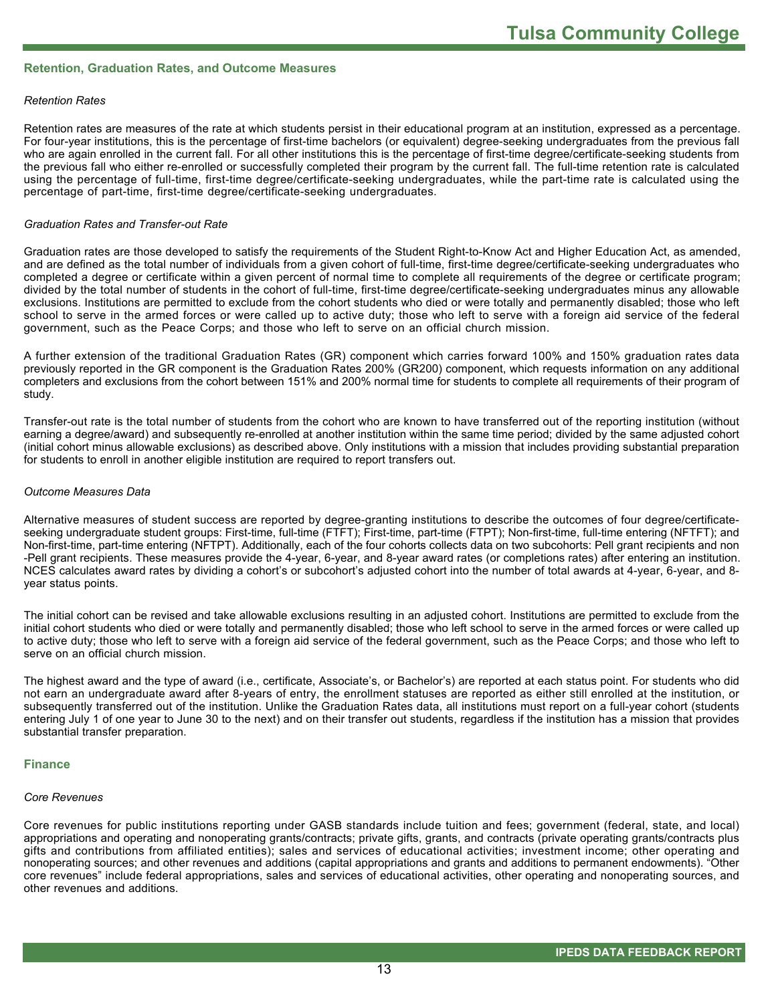#### **Retention, Graduation Rates, and Outcome Measures**

#### *Retention Rates*

Retention rates are measures of the rate at which students persist in their educational program at an institution, expressed as a percentage. For four-year institutions, this is the percentage of first-time bachelors (or equivalent) degree-seeking undergraduates from the previous fall who are again enrolled in the current fall. For all other institutions this is the percentage of first-time degree/certificate-seeking students from the previous fall who either re-enrolled or successfully completed their program by the current fall. The full-time retention rate is calculated using the percentage of full-time, first-time degree/certificate-seeking undergraduates, while the part-time rate is calculated using the percentage of part-time, first-time degree/certificate-seeking undergraduates.

#### *Graduation Rates and Transfer-out Rate*

Graduation rates are those developed to satisfy the requirements of the Student Right-to-Know Act and Higher Education Act, as amended, and are defined as the total number of individuals from a given cohort of full-time, first-time degree/certificate-seeking undergraduates who completed a degree or certificate within a given percent of normal time to complete all requirements of the degree or certificate program; divided by the total number of students in the cohort of full-time, first-time degree/certificate-seeking undergraduates minus any allowable exclusions. Institutions are permitted to exclude from the cohort students who died or were totally and permanently disabled; those who left school to serve in the armed forces or were called up to active duty; those who left to serve with a foreign aid service of the federal government, such as the Peace Corps; and those who left to serve on an official church mission.

A further extension of the traditional Graduation Rates (GR) component which carries forward 100% and 150% graduation rates data previously reported in the GR component is the Graduation Rates 200% (GR200) component, which requests information on any additional completers and exclusions from the cohort between 151% and 200% normal time for students to complete all requirements of their program of study.

Transfer-out rate is the total number of students from the cohort who are known to have transferred out of the reporting institution (without earning a degree/award) and subsequently re-enrolled at another institution within the same time period; divided by the same adjusted cohort (initial cohort minus allowable exclusions) as described above. Only institutions with a mission that includes providing substantial preparation for students to enroll in another eligible institution are required to report transfers out.

#### *Outcome Measures Data*

Alternative measures of student success are reported by degree-granting institutions to describe the outcomes of four degree/certificateseeking undergraduate student groups: First-time, full-time (FTFT); First-time, part-time (FTPT); Non-first-time, full-time entering (NFTFT); and Non-first-time, part-time entering (NFTPT). Additionally, each of the four cohorts collects data on two subcohorts: Pell grant recipients and non -Pell grant recipients. These measures provide the 4-year, 6-year, and 8-year award rates (or completions rates) after entering an institution. NCES calculates award rates by dividing a cohort's or subcohort's adjusted cohort into the number of total awards at 4-year, 6-year, and 8year status points.

The initial cohort can be revised and take allowable exclusions resulting in an adjusted cohort. Institutions are permitted to exclude from the initial cohort students who died or were totally and permanently disabled; those who left school to serve in the armed forces or were called up to active duty; those who left to serve with a foreign aid service of the federal government, such as the Peace Corps; and those who left to serve on an official church mission.

The highest award and the type of award (i.e., certificate, Associate's, or Bachelor's) are reported at each status point. For students who did not earn an undergraduate award after 8-years of entry, the enrollment statuses are reported as either still enrolled at the institution, or subsequently transferred out of the institution. Unlike the Graduation Rates data, all institutions must report on a full-year cohort (students entering July 1 of one year to June 30 to the next) and on their transfer out students, regardless if the institution has a mission that provides substantial transfer preparation.

#### **Finance**

#### *Core Revenues*

Core revenues for public institutions reporting under GASB standards include tuition and fees; government (federal, state, and local) appropriations and operating and nonoperating grants/contracts; private gifts, grants, and contracts (private operating grants/contracts plus gifts and contributions from affiliated entities); sales and services of educational activities; investment income; other operating and nonoperating sources; and other revenues and additions (capital appropriations and grants and additions to permanent endowments). "Other core revenues" include federal appropriations, sales and services of educational activities, other operating and nonoperating sources, and other revenues and additions.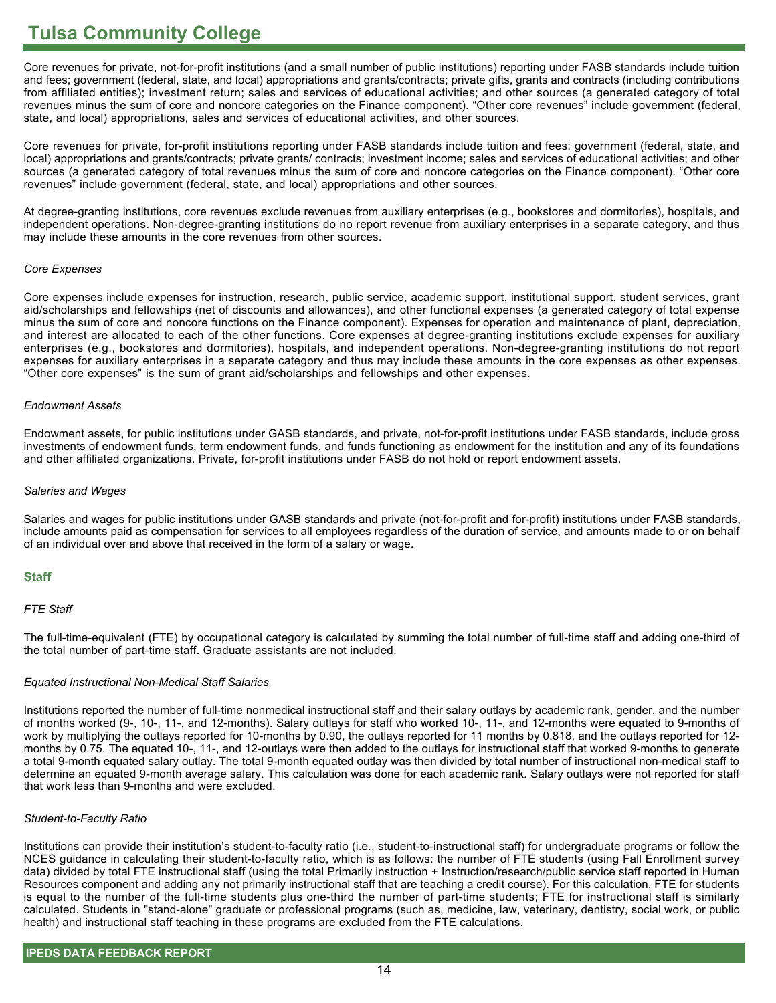Core revenues for private, not-for-profit institutions (and a small number of public institutions) reporting under FASB standards include tuition and fees; government (federal, state, and local) appropriations and grants/contracts; private gifts, grants and contracts (including contributions from affiliated entities); investment return; sales and services of educational activities; and other sources (a generated category of total revenues minus the sum of core and noncore categories on the Finance component). "Other core revenues" include government (federal, state, and local) appropriations, sales and services of educational activities, and other sources.

Core revenues for private, for-profit institutions reporting under FASB standards include tuition and fees; government (federal, state, and local) appropriations and grants/contracts; private grants/ contracts; investment income; sales and services of educational activities; and other sources (a generated category of total revenues minus the sum of core and noncore categories on the Finance component). "Other core revenues" include government (federal, state, and local) appropriations and other sources.

At degree-granting institutions, core revenues exclude revenues from auxiliary enterprises (e.g., bookstores and dormitories), hospitals, and independent operations. Non-degree-granting institutions do no report revenue from auxiliary enterprises in a separate category, and thus may include these amounts in the core revenues from other sources.

#### *Core Expenses*

Core expenses include expenses for instruction, research, public service, academic support, institutional support, student services, grant aid/scholarships and fellowships (net of discounts and allowances), and other functional expenses (a generated category of total expense minus the sum of core and noncore functions on the Finance component). Expenses for operation and maintenance of plant, depreciation, and interest are allocated to each of the other functions. Core expenses at degree-granting institutions exclude expenses for auxiliary enterprises (e.g., bookstores and dormitories), hospitals, and independent operations. Non-degree-granting institutions do not report expenses for auxiliary enterprises in a separate category and thus may include these amounts in the core expenses as other expenses. "Other core expenses" is the sum of grant aid/scholarships and fellowships and other expenses.

#### *Endowment Assets*

Endowment assets, for public institutions under GASB standards, and private, not-for-profit institutions under FASB standards, include gross investments of endowment funds, term endowment funds, and funds functioning as endowment for the institution and any of its foundations and other affiliated organizations. Private, for-profit institutions under FASB do not hold or report endowment assets.

#### *Salaries and Wages*

Salaries and wages for public institutions under GASB standards and private (not-for-profit and for-profit) institutions under FASB standards, include amounts paid as compensation for services to all employees regardless of the duration of service, and amounts made to or on behalf of an individual over and above that received in the form of a salary or wage.

### **Staff**

### *FTE Staff*

The full-time-equivalent (FTE) by occupational category is calculated by summing the total number of full-time staff and adding one-third of the total number of part-time staff. Graduate assistants are not included.

### *Equated Instructional Non-Medical Staff Salaries*

Institutions reported the number of full-time nonmedical instructional staff and their salary outlays by academic rank, gender, and the number of months worked (9-, 10-, 11-, and 12-months). Salary outlays for staff who worked 10-, 11-, and 12-months were equated to 9-months of work by multiplying the outlays reported for 10-months by 0.90, the outlays reported for 11 months by 0.818, and the outlays reported for 12 months by 0.75. The equated 10-, 11-, and 12-outlays were then added to the outlays for instructional staff that worked 9-months to generate a total 9-month equated salary outlay. The total 9-month equated outlay was then divided by total number of instructional non-medical staff to determine an equated 9-month average salary. This calculation was done for each academic rank. Salary outlays were not reported for staff that work less than 9-months and were excluded.

#### *Student-to-Faculty Ratio*

Institutions can provide their institution's student-to-faculty ratio (i.e., student-to-instructional staff) for undergraduate programs or follow the NCES guidance in calculating their student-to-faculty ratio, which is as follows: the number of FTE students (using Fall Enrollment survey data) divided by total FTE instructional staff (using the total Primarily instruction + Instruction/research/public service staff reported in Human Resources component and adding any not primarily instructional staff that are teaching a credit course). For this calculation, FTE for students is equal to the number of the full-time students plus one-third the number of part-time students; FTE for instructional staff is similarly calculated. Students in "stand-alone" graduate or professional programs (such as, medicine, law, veterinary, dentistry, social work, or public health) and instructional staff teaching in these programs are excluded from the FTE calculations.